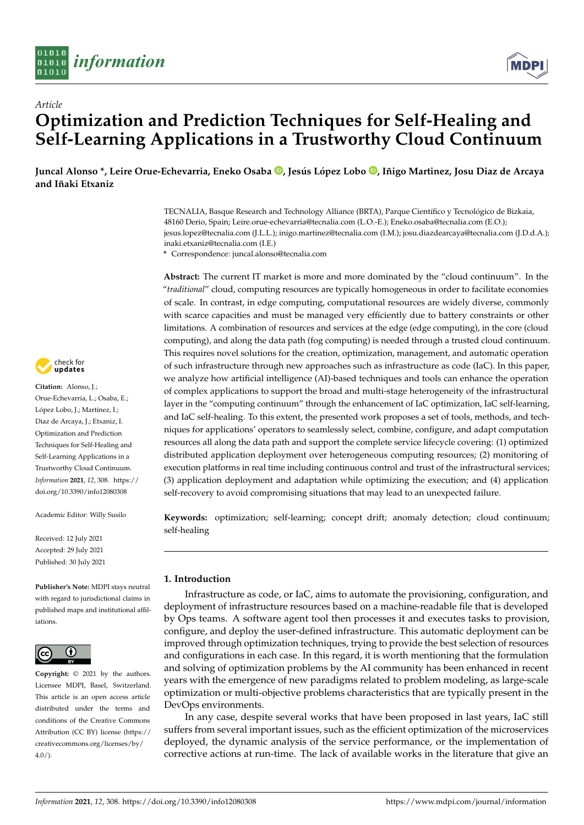



# *Article* **Optimization and Prediction Techniques for Self-Healing and Self-Learning Applications in a Trustworthy Cloud Continuum**

**Juncal Alonso \*, Leire Orue-Echevarria, Eneko Osaba [,](https://orcid.org/0000-0001-7863-9910) Jesús López Lobo [,](https://orcid.org/0000-0002-6283-5148) Iñigo Martinez, Josu Diaz de Arcaya and Iñaki Etxaniz**

> TECNALIA, Basque Research and Technology Alliance (BRTA), Parque Científico y Tecnológico de Bizkaia, 48160 Derio, Spain; Leire.orue-echevarria@tecnalia.com (L.O.-E.); Eneko.osaba@tecnalia.com (E.O.); jesus.lopez@tecnalia.com (J.L.L.); inigo.martinez@tecnalia.com (I.M.); josu.diazdearcaya@tecnalia.com (J.D.d.A.); inaki.etxaniz@tecnalia.com (I.E.)

**\*** Correspondence: juncal.alonso@tecnalia.com

**Abstract:** The current IT market is more and more dominated by the "cloud continuum". In the "*traditional*" cloud, computing resources are typically homogeneous in order to facilitate economies of scale. In contrast, in edge computing, computational resources are widely diverse, commonly with scarce capacities and must be managed very efficiently due to battery constraints or other limitations. A combination of resources and services at the edge (edge computing), in the core (cloud computing), and along the data path (fog computing) is needed through a trusted cloud continuum. This requires novel solutions for the creation, optimization, management, and automatic operation of such infrastructure through new approaches such as infrastructure as code (IaC). In this paper, we analyze how artificial intelligence (AI)-based techniques and tools can enhance the operation of complex applications to support the broad and multi-stage heterogeneity of the infrastructural layer in the "computing continuum" through the enhancement of IaC optimization, IaC self-learning, and IaC self-healing. To this extent, the presented work proposes a set of tools, methods, and techniques for applications' operators to seamlessly select, combine, configure, and adapt computation resources all along the data path and support the complete service lifecycle covering: (1) optimized distributed application deployment over heterogeneous computing resources; (2) monitoring of execution platforms in real time including continuous control and trust of the infrastructural services; (3) application deployment and adaptation while optimizing the execution; and (4) application self-recovery to avoid compromising situations that may lead to an unexpected failure.

**Keywords:** optimization; self-learning; concept drift; anomaly detection; cloud continuum; self-healing

## **1. Introduction**

Infrastructure as code, or IaC, aims to automate the provisioning, configuration, and deployment of infrastructure resources based on a machine-readable file that is developed by Ops teams. A software agent tool then processes it and executes tasks to provision, configure, and deploy the user-defined infrastructure. This automatic deployment can be improved through optimization techniques, trying to provide the best selection of resources and configurations in each case. In this regard, it is worth mentioning that the formulation and solving of optimization problems by the AI community has been enhanced in recent years with the emergence of new paradigms related to problem modeling, as large-scale optimization or multi-objective problems characteristics that are typically present in the DevOps environments.

In any case, despite several works that have been proposed in last years, IaC still suffers from several important issues, such as the efficient optimization of the microservices deployed, the dynamic analysis of the service performance, or the implementation of corrective actions at run-time. The lack of available works in the literature that give an



**Citation:** Alonso, J.; Orue-Echevarria, L.; Osaba, E.; López Lobo, J.; Martinez, I.; Diaz de Arcaya, J.; Etxaniz, I. Optimization and Prediction Techniques for Self-Healing and Self-Learning Applications in a Trustworthy Cloud Continuum. *Information* **2021**, *12*, 308. [https://](https://doi.org/10.3390/info12080308) [doi.org/10.3390/info12080308](https://doi.org/10.3390/info12080308)

Academic Editor: Willy Susilo

Received: 12 July 2021 Accepted: 29 July 2021 Published: 30 July 2021

**Publisher's Note:** MDPI stays neutral with regard to jurisdictional claims in published maps and institutional affiliations.



**Copyright:** © 2021 by the authors. Licensee MDPI, Basel, Switzerland. This article is an open access article distributed under the terms and conditions of the Creative Commons Attribution (CC BY) license (https:/[/](https://creativecommons.org/licenses/by/4.0/) [creativecommons.org/licenses/by/](https://creativecommons.org/licenses/by/4.0/)  $4.0/$ ).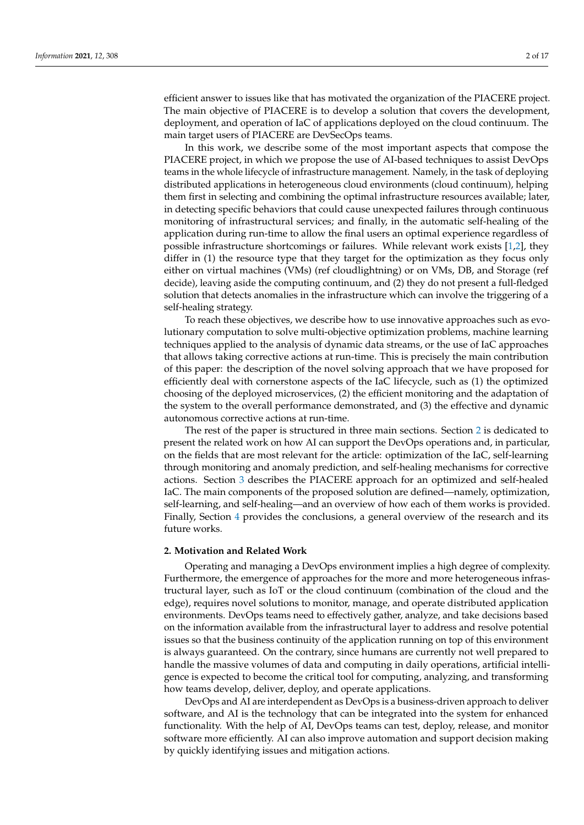efficient answer to issues like that has motivated the organization of the PIACERE project. The main objective of PIACERE is to develop a solution that covers the development, deployment, and operation of IaC of applications deployed on the cloud continuum. The main target users of PIACERE are DevSecOps teams.

In this work, we describe some of the most important aspects that compose the PIACERE project, in which we propose the use of AI-based techniques to assist DevOps teams in the whole lifecycle of infrastructure management. Namely, in the task of deploying distributed applications in heterogeneous cloud environments (cloud continuum), helping them first in selecting and combining the optimal infrastructure resources available; later, in detecting specific behaviors that could cause unexpected failures through continuous monitoring of infrastructural services; and finally, in the automatic self-healing of the application during run-time to allow the final users an optimal experience regardless of possible infrastructure shortcomings or failures. While relevant work exists [\[1,](#page-14-0)[2\]](#page-14-1), they differ in (1) the resource type that they target for the optimization as they focus only either on virtual machines (VMs) (ref cloudlightning) or on VMs, DB, and Storage (ref decide), leaving aside the computing continuum, and (2) they do not present a full-fledged solution that detects anomalies in the infrastructure which can involve the triggering of a self-healing strategy.

To reach these objectives, we describe how to use innovative approaches such as evolutionary computation to solve multi-objective optimization problems, machine learning techniques applied to the analysis of dynamic data streams, or the use of IaC approaches that allows taking corrective actions at run-time. This is precisely the main contribution of this paper: the description of the novel solving approach that we have proposed for efficiently deal with cornerstone aspects of the IaC lifecycle, such as (1) the optimized choosing of the deployed microservices, (2) the efficient monitoring and the adaptation of the system to the overall performance demonstrated, and (3) the effective and dynamic autonomous corrective actions at run-time.

The rest of the paper is structured in three main sections. Section [2](#page-1-0) is dedicated to present the related work on how AI can support the DevOps operations and, in particular, on the fields that are most relevant for the article: optimization of the IaC, self-learning through monitoring and anomaly prediction, and self-healing mechanisms for corrective actions. Section [3](#page-9-0) describes the PIACERE approach for an optimized and self-healed IaC. The main components of the proposed solution are defined—namely, optimization, self-learning, and self-healing—and an overview of how each of them works is provided. Finally, Section [4](#page-13-0) provides the conclusions, a general overview of the research and its future works.

## <span id="page-1-0"></span>**2. Motivation and Related Work**

Operating and managing a DevOps environment implies a high degree of complexity. Furthermore, the emergence of approaches for the more and more heterogeneous infrastructural layer, such as IoT or the cloud continuum (combination of the cloud and the edge), requires novel solutions to monitor, manage, and operate distributed application environments. DevOps teams need to effectively gather, analyze, and take decisions based on the information available from the infrastructural layer to address and resolve potential issues so that the business continuity of the application running on top of this environment is always guaranteed. On the contrary, since humans are currently not well prepared to handle the massive volumes of data and computing in daily operations, artificial intelligence is expected to become the critical tool for computing, analyzing, and transforming how teams develop, deliver, deploy, and operate applications.

DevOps and AI are interdependent as DevOps is a business-driven approach to deliver software, and AI is the technology that can be integrated into the system for enhanced functionality. With the help of AI, DevOps teams can test, deploy, release, and monitor software more efficiently. AI can also improve automation and support decision making by quickly identifying issues and mitigation actions.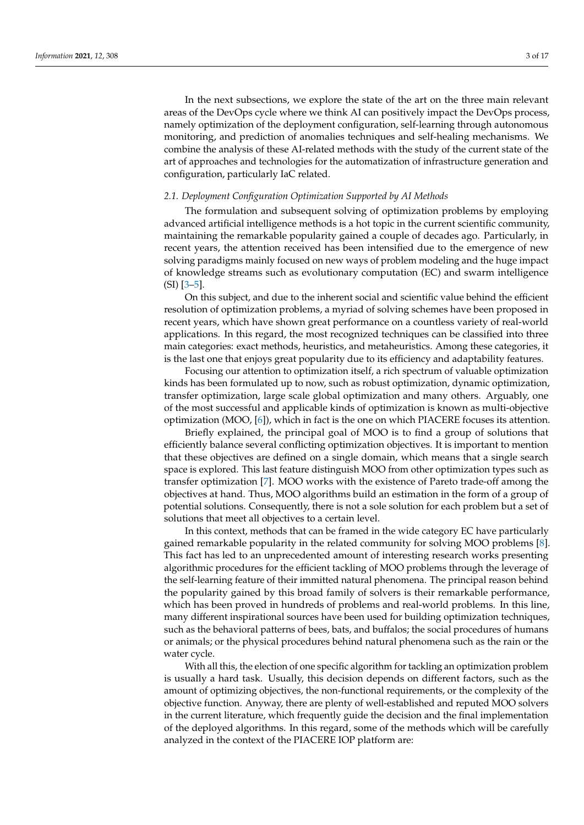In the next subsections, we explore the state of the art on the three main relevant areas of the DevOps cycle where we think AI can positively impact the DevOps process, namely optimization of the deployment configuration, self-learning through autonomous monitoring, and prediction of anomalies techniques and self-healing mechanisms. We combine the analysis of these AI-related methods with the study of the current state of the art of approaches and technologies for the automatization of infrastructure generation and configuration, particularly IaC related.

### *2.1. Deployment Configuration Optimization Supported by AI Methods*

The formulation and subsequent solving of optimization problems by employing advanced artificial intelligence methods is a hot topic in the current scientific community, maintaining the remarkable popularity gained a couple of decades ago. Particularly, in recent years, the attention received has been intensified due to the emergence of new solving paradigms mainly focused on new ways of problem modeling and the huge impact of knowledge streams such as evolutionary computation (EC) and swarm intelligence (SI) [\[3–](#page-14-2)[5\]](#page-14-3).

On this subject, and due to the inherent social and scientific value behind the efficient resolution of optimization problems, a myriad of solving schemes have been proposed in recent years, which have shown great performance on a countless variety of real-world applications. In this regard, the most recognized techniques can be classified into three main categories: exact methods, heuristics, and metaheuristics. Among these categories, it is the last one that enjoys great popularity due to its efficiency and adaptability features.

Focusing our attention to optimization itself, a rich spectrum of valuable optimization kinds has been formulated up to now, such as robust optimization, dynamic optimization, transfer optimization, large scale global optimization and many others. Arguably, one of the most successful and applicable kinds of optimization is known as multi-objective optimization (MOO, [\[6\]](#page-14-4)), which in fact is the one on which PIACERE focuses its attention.

Briefly explained, the principal goal of MOO is to find a group of solutions that efficiently balance several conflicting optimization objectives. It is important to mention that these objectives are defined on a single domain, which means that a single search space is explored. This last feature distinguish MOO from other optimization types such as transfer optimization [\[7\]](#page-14-5). MOO works with the existence of Pareto trade-off among the objectives at hand. Thus, MOO algorithms build an estimation in the form of a group of potential solutions. Consequently, there is not a sole solution for each problem but a set of solutions that meet all objectives to a certain level.

In this context, methods that can be framed in the wide category EC have particularly gained remarkable popularity in the related community for solving MOO problems [\[8\]](#page-14-6). This fact has led to an unprecedented amount of interesting research works presenting algorithmic procedures for the efficient tackling of MOO problems through the leverage of the self-learning feature of their immitted natural phenomena. The principal reason behind the popularity gained by this broad family of solvers is their remarkable performance, which has been proved in hundreds of problems and real-world problems. In this line, many different inspirational sources have been used for building optimization techniques, such as the behavioral patterns of bees, bats, and buffalos; the social procedures of humans or animals; or the physical procedures behind natural phenomena such as the rain or the water cycle.

With all this, the election of one specific algorithm for tackling an optimization problem is usually a hard task. Usually, this decision depends on different factors, such as the amount of optimizing objectives, the non-functional requirements, or the complexity of the objective function. Anyway, there are plenty of well-established and reputed MOO solvers in the current literature, which frequently guide the decision and the final implementation of the deployed algorithms. In this regard, some of the methods which will be carefully analyzed in the context of the PIACERE IOP platform are: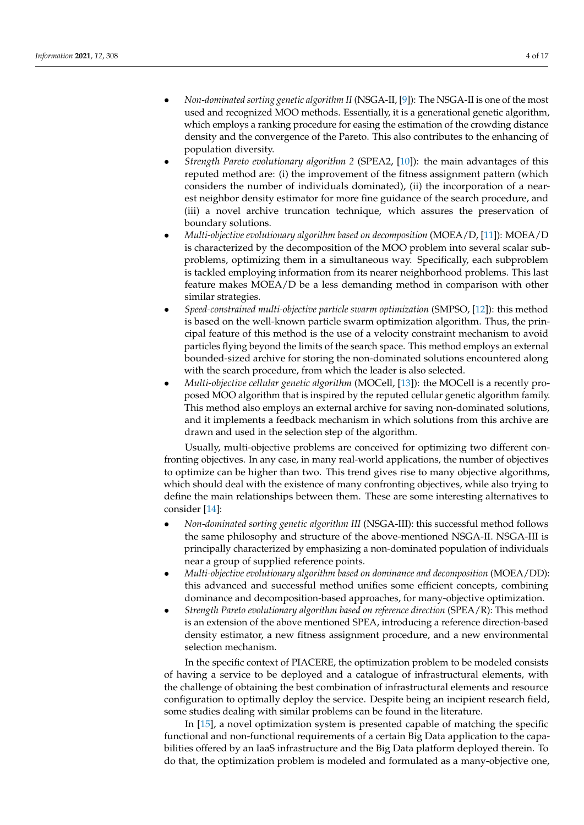- *Non-dominated sorting genetic algorithm II* (NSGA-II, [\[9\]](#page-14-7)): The NSGA-II is one of the most used and recognized MOO methods. Essentially, it is a generational genetic algorithm, which employs a ranking procedure for easing the estimation of the crowding distance density and the convergence of the Pareto. This also contributes to the enhancing of population diversity.
- *Strength Pareto evolutionary algorithm 2* (SPEA2, [\[10\]](#page-14-8)): the main advantages of this reputed method are: (i) the improvement of the fitness assignment pattern (which considers the number of individuals dominated), (ii) the incorporation of a nearest neighbor density estimator for more fine guidance of the search procedure, and (iii) a novel archive truncation technique, which assures the preservation of boundary solutions.
- *Multi-objective evolutionary algorithm based on decomposition* (MOEA/D, [\[11\]](#page-14-9)): MOEA/D is characterized by the decomposition of the MOO problem into several scalar subproblems, optimizing them in a simultaneous way. Specifically, each subproblem is tackled employing information from its nearer neighborhood problems. This last feature makes MOEA/D be a less demanding method in comparison with other similar strategies.
- *Speed-constrained multi-objective particle swarm optimization* (SMPSO, [\[12\]](#page-14-10)): this method is based on the well-known particle swarm optimization algorithm. Thus, the principal feature of this method is the use of a velocity constraint mechanism to avoid particles flying beyond the limits of the search space. This method employs an external bounded-sized archive for storing the non-dominated solutions encountered along with the search procedure, from which the leader is also selected.
- *Multi-objective cellular genetic algorithm* (MOCell, [\[13\]](#page-14-11)): the MOCell is a recently proposed MOO algorithm that is inspired by the reputed cellular genetic algorithm family. This method also employs an external archive for saving non-dominated solutions, and it implements a feedback mechanism in which solutions from this archive are drawn and used in the selection step of the algorithm.

Usually, multi-objective problems are conceived for optimizing two different confronting objectives. In any case, in many real-world applications, the number of objectives to optimize can be higher than two. This trend gives rise to many objective algorithms, which should deal with the existence of many confronting objectives, while also trying to define the main relationships between them. These are some interesting alternatives to consider [\[14\]](#page-14-12):

- *Non-dominated sorting genetic algorithm III* (NSGA-III): this successful method follows the same philosophy and structure of the above-mentioned NSGA-II. NSGA-III is principally characterized by emphasizing a non-dominated population of individuals near a group of supplied reference points.
- *Multi-objective evolutionary algorithm based on dominance and decomposition* (MOEA/DD): this advanced and successful method unifies some efficient concepts, combining dominance and decomposition-based approaches, for many-objective optimization.
- *Strength Pareto evolutionary algorithm based on reference direction* (SPEA/R): This method is an extension of the above mentioned SPEA, introducing a reference direction-based density estimator, a new fitness assignment procedure, and a new environmental selection mechanism.

In the specific context of PIACERE, the optimization problem to be modeled consists of having a service to be deployed and a catalogue of infrastructural elements, with the challenge of obtaining the best combination of infrastructural elements and resource configuration to optimally deploy the service. Despite being an incipient research field, some studies dealing with similar problems can be found in the literature.

In [\[15\]](#page-14-13), a novel optimization system is presented capable of matching the specific functional and non-functional requirements of a certain Big Data application to the capabilities offered by an IaaS infrastructure and the Big Data platform deployed therein. To do that, the optimization problem is modeled and formulated as a many-objective one,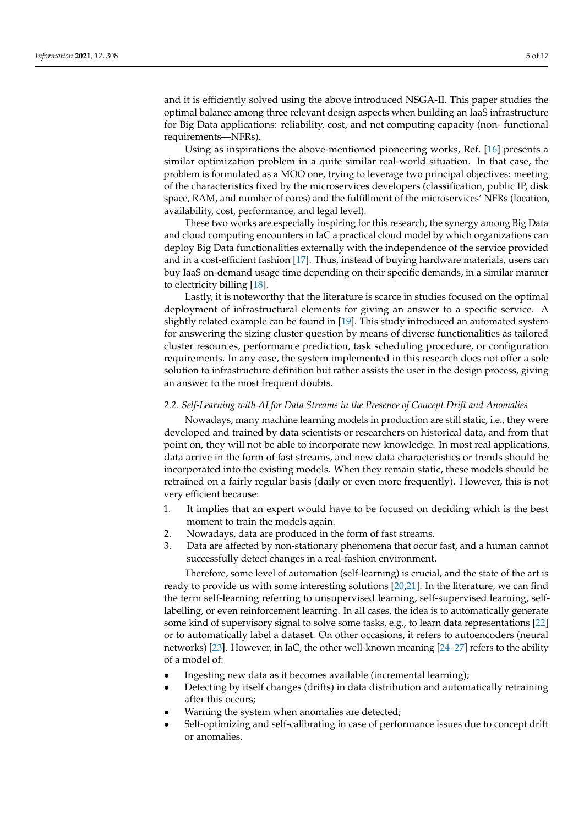and it is efficiently solved using the above introduced NSGA-II. This paper studies the optimal balance among three relevant design aspects when building an IaaS infrastructure for Big Data applications: reliability, cost, and net computing capacity (non- functional requirements—NFRs).

Using as inspirations the above-mentioned pioneering works, Ref. [\[16\]](#page-14-14) presents a similar optimization problem in a quite similar real-world situation. In that case, the problem is formulated as a MOO one, trying to leverage two principal objectives: meeting of the characteristics fixed by the microservices developers (classification, public IP, disk space, RAM, and number of cores) and the fulfillment of the microservices' NFRs (location, availability, cost, performance, and legal level).

These two works are especially inspiring for this research, the synergy among Big Data and cloud computing encounters in IaC a practical cloud model by which organizations can deploy Big Data functionalities externally with the independence of the service provided and in a cost-efficient fashion [\[17\]](#page-15-0). Thus, instead of buying hardware materials, users can buy IaaS on-demand usage time depending on their specific demands, in a similar manner to electricity billing [\[18\]](#page-15-1).

Lastly, it is noteworthy that the literature is scarce in studies focused on the optimal deployment of infrastructural elements for giving an answer to a specific service. A slightly related example can be found in [\[19\]](#page-15-2). This study introduced an automated system for answering the sizing cluster question by means of diverse functionalities as tailored cluster resources, performance prediction, task scheduling procedure, or configuration requirements. In any case, the system implemented in this research does not offer a sole solution to infrastructure definition but rather assists the user in the design process, giving an answer to the most frequent doubts.

### *2.2. Self-Learning with AI for Data Streams in the Presence of Concept Drift and Anomalies*

Nowadays, many machine learning models in production are still static, i.e., they were developed and trained by data scientists or researchers on historical data, and from that point on, they will not be able to incorporate new knowledge. In most real applications, data arrive in the form of fast streams, and new data characteristics or trends should be incorporated into the existing models. When they remain static, these models should be retrained on a fairly regular basis (daily or even more frequently). However, this is not very efficient because:

- 1. It implies that an expert would have to be focused on deciding which is the best moment to train the models again.
- 2. Nowadays, data are produced in the form of fast streams.
- 3. Data are affected by non-stationary phenomena that occur fast, and a human cannot successfully detect changes in a real-fashion environment.

Therefore, some level of automation (self-learning) is crucial, and the state of the art is ready to provide us with some interesting solutions [\[20,](#page-15-3)[21\]](#page-15-4). In the literature, we can find the term self-learning referring to unsupervised learning, self-supervised learning, selflabelling, or even reinforcement learning. In all cases, the idea is to automatically generate some kind of supervisory signal to solve some tasks, e.g., to learn data representations [\[22\]](#page-15-5) or to automatically label a dataset. On other occasions, it refers to autoencoders (neural networks) [\[23\]](#page-15-6). However, in IaC, the other well-known meaning [\[24–](#page-15-7)[27\]](#page-15-8) refers to the ability of a model of:

- Ingesting new data as it becomes available (incremental learning);
- Detecting by itself changes (drifts) in data distribution and automatically retraining after this occurs;
- Warning the system when anomalies are detected;
- Self-optimizing and self-calibrating in case of performance issues due to concept drift or anomalies.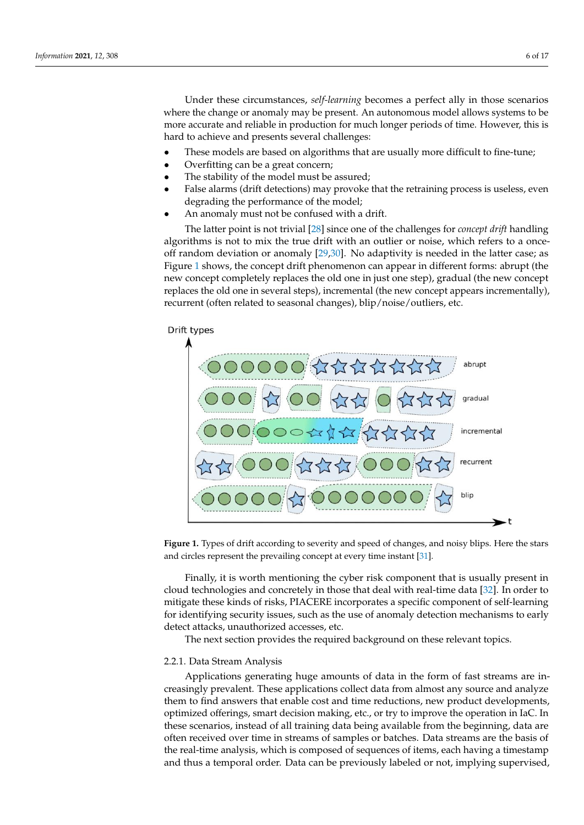Under these circumstances, self-learning becomes a perfect ally in those scenarios where the change or anomaly may be present. An autonomous model allows systems to be more accurate and reliable in production for much longer periods of time. However, this is<br>hard to achieve and nussents access! shallowses: hard to achieve and presents several challenges:

 $\sim$  These models are based on algorithms that are usually more differentially more differential to fine-tune;

- These models are based on algorithms that are usually more difficult to fine-tune;
- Overfitting can be a great concern;
- The stability of the model must be assured;
- False alarms (drift detections) may provoke that the retraining process is useless, even degrading the performance of the model;<br>An anomaly must not be confused with a drift
- An anomaly must not be confused with a drift.

The latter point is [no](#page-15-9)t trivial [28] since one of the challenges for *concept drift* handling algorithms is not to mix the true drift with an outlier or noise, which refers to a onceoff random deviation or anomaly [\[29,](#page-15-10)[30\]](#page-15-11). No adaptivity is needed in the latter case; as Figure 1 shows, the con[ce](#page-5-0)pt drift phenomenon can appear in different forms: abrupt (the  $\frac{1}{2}$ new concept completely replaces the old one in just one step), gradual (the new concept replaces the old one in several steps), incremental (the new concept appears incrementally), recurrent (often related to seasonal changes), blip/noise/outliers, etc. recurrent (often related to seasonal changes), blip/noise/outliers, etc.

<span id="page-5-0"></span>

**Figure 1.** Types of drift according to severity and speed of changes, and noisy blips. Here the stars **Figure 1.** Types of drift according to severity and speed of changes, and noisy blips. Here the stars and circles represent the prevailing concept at every time instant [31]. and circles represent the prevailing concept at every time instant [\[31\]](#page-15-12).

eroda deenhologies and concretely in those that dear while that the data  $[0.2]$ . In order to mitigate these kinds of risks, PIACERE incorporates a specific component of self-learning for identifying security issues, such as the use of anomaly detection mechanisms to early Finally, it is worth mentioning the cyber risk component that is usually present in cloud technologies and concretely in those that deal with real-time data [\[32\]](#page-15-13). In order to detect attacks, unauthorized accesses, etc.

The next section provides the required background on these relevant topics.

### $f(x)$  identify the use of anomaly detection mechanisms to early detection mechanisms to early to early to early to early to early to early the use of  $\frac{1}{2}$ 2.2.1. Data Stream Analysis

Applications generating huge amounts of data in the form of fast streams are increasingly prevalent. These applications collect data from almost any source and analyze these scenarios, instead of all training data being available from the beginning, data are the real-time analysis, which is composed of sequences of items, each having a timestamp and thus a temporal order. Data can be previously labeled or not, implying supervised, them to find answers that enable cost and time reductions, new product developments, optimized offerings, smart decision making, etc., or try to improve the operation in IaC. In often received over time in streams of samples or batches. Data streams are the basis of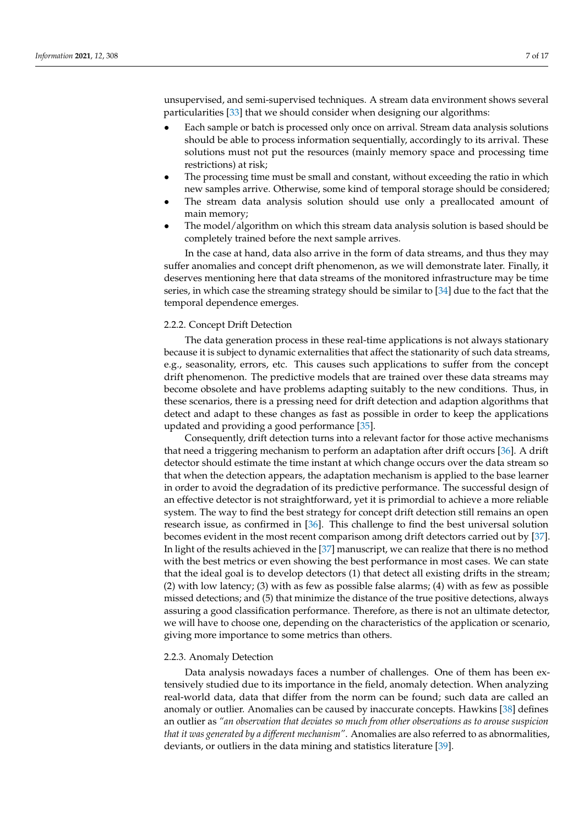unsupervised, and semi-supervised techniques. A stream data environment shows several particularities [\[33\]](#page-15-14) that we should consider when designing our algorithms:

- Each sample or batch is processed only once on arrival. Stream data analysis solutions should be able to process information sequentially, accordingly to its arrival. These solutions must not put the resources (mainly memory space and processing time restrictions) at risk;
- The processing time must be small and constant, without exceeding the ratio in which new samples arrive. Otherwise, some kind of temporal storage should be considered;
- The stream data analysis solution should use only a preallocated amount of main memory;
- The model/algorithm on which this stream data analysis solution is based should be completely trained before the next sample arrives.

In the case at hand, data also arrive in the form of data streams, and thus they may suffer anomalies and concept drift phenomenon, as we will demonstrate later. Finally, it deserves mentioning here that data streams of the monitored infrastructure may be time series, in which case the streaming strategy should be similar to [\[34\]](#page-15-15) due to the fact that the temporal dependence emerges.

### 2.2.2. Concept Drift Detection

The data generation process in these real-time applications is not always stationary because it is subject to dynamic externalities that affect the stationarity of such data streams, e.g., seasonality, errors, etc. This causes such applications to suffer from the concept drift phenomenon. The predictive models that are trained over these data streams may become obsolete and have problems adapting suitably to the new conditions. Thus, in these scenarios, there is a pressing need for drift detection and adaption algorithms that detect and adapt to these changes as fast as possible in order to keep the applications updated and providing a good performance [\[35\]](#page-15-16).

Consequently, drift detection turns into a relevant factor for those active mechanisms that need a triggering mechanism to perform an adaptation after drift occurs [\[36\]](#page-15-17). A drift detector should estimate the time instant at which change occurs over the data stream so that when the detection appears, the adaptation mechanism is applied to the base learner in order to avoid the degradation of its predictive performance. The successful design of an effective detector is not straightforward, yet it is primordial to achieve a more reliable system. The way to find the best strategy for concept drift detection still remains an open research issue, as confirmed in [\[36\]](#page-15-17). This challenge to find the best universal solution becomes evident in the most recent comparison among drift detectors carried out by [\[37\]](#page-15-18). In light of the results achieved in the [\[37\]](#page-15-18) manuscript, we can realize that there is no method with the best metrics or even showing the best performance in most cases. We can state that the ideal goal is to develop detectors (1) that detect all existing drifts in the stream; (2) with low latency; (3) with as few as possible false alarms; (4) with as few as possible missed detections; and (5) that minimize the distance of the true positive detections, always assuring a good classification performance. Therefore, as there is not an ultimate detector, we will have to choose one, depending on the characteristics of the application or scenario, giving more importance to some metrics than others.

## 2.2.3. Anomaly Detection

Data analysis nowadays faces a number of challenges. One of them has been extensively studied due to its importance in the field, anomaly detection. When analyzing real-world data, data that differ from the norm can be found; such data are called an anomaly or outlier. Anomalies can be caused by inaccurate concepts. Hawkins [\[38\]](#page-15-19) defines an outlier as *"an observation that deviates so much from other observations as to arouse suspicion that it was generated by a different mechanism"*. Anomalies are also referred to as abnormalities, deviants, or outliers in the data mining and statistics literature [\[39\]](#page-15-20).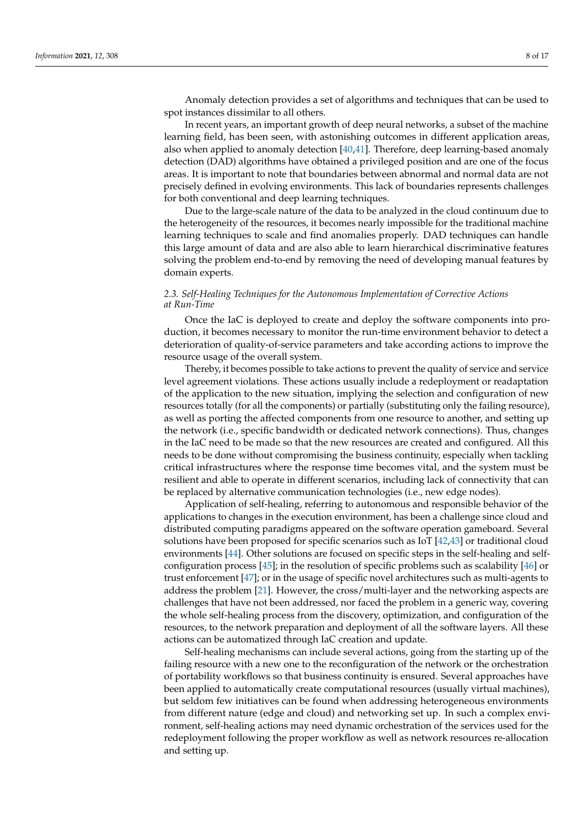Anomaly detection provides a set of algorithms and techniques that can be used to spot instances dissimilar to all others.

In recent years, an important growth of deep neural networks, a subset of the machine learning field, has been seen, with astonishing outcomes in different application areas, also when applied to anomaly detection [\[40,](#page-15-21)[41\]](#page-15-22). Therefore, deep learning-based anomaly detection (DAD) algorithms have obtained a privileged position and are one of the focus areas. It is important to note that boundaries between abnormal and normal data are not precisely defined in evolving environments. This lack of boundaries represents challenges for both conventional and deep learning techniques.

Due to the large-scale nature of the data to be analyzed in the cloud continuum due to the heterogeneity of the resources, it becomes nearly impossible for the traditional machine learning techniques to scale and find anomalies properly. DAD techniques can handle this large amount of data and are also able to learn hierarchical discriminative features solving the problem end-to-end by removing the need of developing manual features by domain experts.

## *2.3. Self-Healing Techniques for the Autonomous Implementation of Corrective Actions at Run-Time*

Once the IaC is deployed to create and deploy the software components into production, it becomes necessary to monitor the run-time environment behavior to detect a deterioration of quality-of-service parameters and take according actions to improve the resource usage of the overall system.

Thereby, it becomes possible to take actions to prevent the quality of service and service level agreement violations. These actions usually include a redeployment or readaptation of the application to the new situation, implying the selection and configuration of new resources totally (for all the components) or partially (substituting only the failing resource), as well as porting the affected components from one resource to another, and setting up the network (i.e., specific bandwidth or dedicated network connections). Thus, changes in the IaC need to be made so that the new resources are created and configured. All this needs to be done without compromising the business continuity, especially when tackling critical infrastructures where the response time becomes vital, and the system must be resilient and able to operate in different scenarios, including lack of connectivity that can be replaced by alternative communication technologies (i.e., new edge nodes).

Application of self-healing, referring to autonomous and responsible behavior of the applications to changes in the execution environment, has been a challenge since cloud and distributed computing paradigms appeared on the software operation gameboard. Several solutions have been proposed for specific scenarios such as IoT [\[42,](#page-15-23)[43\]](#page-15-24) or traditional cloud environments [\[44\]](#page-15-25). Other solutions are focused on specific steps in the self-healing and selfconfiguration process  $[45]$ ; in the resolution of specific problems such as scalability  $[46]$  or trust enforcement [\[47\]](#page-15-28); or in the usage of specific novel architectures such as multi-agents to address the problem [\[21\]](#page-15-4). However, the cross/multi-layer and the networking aspects are challenges that have not been addressed, nor faced the problem in a generic way, covering the whole self-healing process from the discovery, optimization, and configuration of the resources, to the network preparation and deployment of all the software layers. All these actions can be automatized through IaC creation and update.

Self-healing mechanisms can include several actions, going from the starting up of the failing resource with a new one to the reconfiguration of the network or the orchestration of portability workflows so that business continuity is ensured. Several approaches have been applied to automatically create computational resources (usually virtual machines), but seldom few initiatives can be found when addressing heterogeneous environments from different nature (edge and cloud) and networking set up. In such a complex environment, self-healing actions may need dynamic orchestration of the services used for the redeployment following the proper workflow as well as network resources re-allocation and setting up.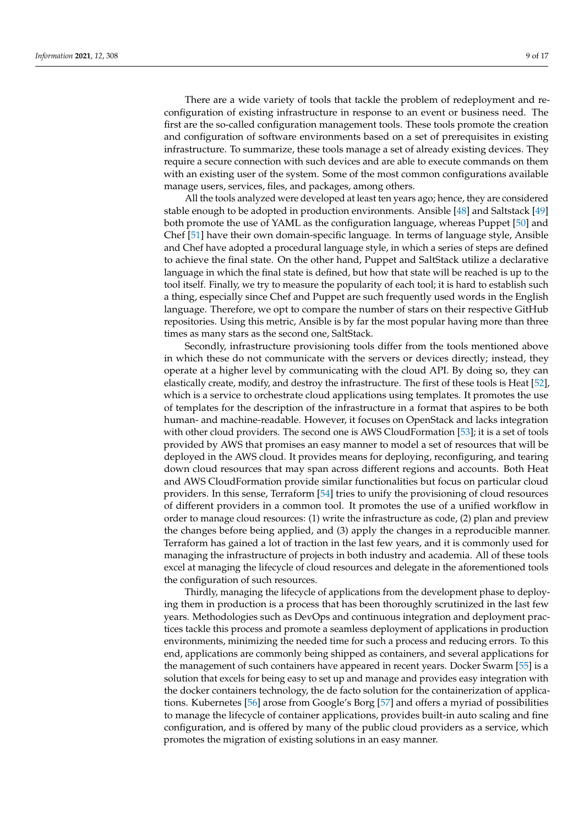There are a wide variety of tools that tackle the problem of redeployment and reconfiguration of existing infrastructure in response to an event or business need. The first are the so-called configuration management tools. These tools promote the creation and configuration of software environments based on a set of prerequisites in existing infrastructure. To summarize, these tools manage a set of already existing devices. They require a secure connection with such devices and are able to execute commands on them with an existing user of the system. Some of the most common configurations available manage users, services, files, and packages, among others.

All the tools analyzed were developed at least ten years ago; hence, they are considered stable enough to be adopted in production environments. Ansible [\[48\]](#page-15-29) and Saltstack [\[49\]](#page-15-30) both promote the use of YAML as the configuration language, whereas Puppet [\[50\]](#page-16-0) and Chef [\[51\]](#page-16-1) have their own domain-specific language. In terms of language style, Ansible and Chef have adopted a procedural language style, in which a series of steps are defined to achieve the final state. On the other hand, Puppet and SaltStack utilize a declarative language in which the final state is defined, but how that state will be reached is up to the tool itself. Finally, we try to measure the popularity of each tool; it is hard to establish such a thing, especially since Chef and Puppet are such frequently used words in the English language. Therefore, we opt to compare the number of stars on their respective GitHub repositories. Using this metric, Ansible is by far the most popular having more than three times as many stars as the second one, SaltStack.

Secondly, infrastructure provisioning tools differ from the tools mentioned above in which these do not communicate with the servers or devices directly; instead, they operate at a higher level by communicating with the cloud API. By doing so, they can elastically create, modify, and destroy the infrastructure. The first of these tools is Heat [\[52\]](#page-16-2), which is a service to orchestrate cloud applications using templates. It promotes the use of templates for the description of the infrastructure in a format that aspires to be both human- and machine-readable. However, it focuses on OpenStack and lacks integration with other cloud providers. The second one is AWS CloudFormation [\[53\]](#page-16-3); it is a set of tools provided by AWS that promises an easy manner to model a set of resources that will be deployed in the AWS cloud. It provides means for deploying, reconfiguring, and tearing down cloud resources that may span across different regions and accounts. Both Heat and AWS CloudFormation provide similar functionalities but focus on particular cloud providers. In this sense, Terraform [\[54\]](#page-16-4) tries to unify the provisioning of cloud resources of different providers in a common tool. It promotes the use of a unified workflow in order to manage cloud resources: (1) write the infrastructure as code, (2) plan and preview the changes before being applied, and (3) apply the changes in a reproducible manner. Terraform has gained a lot of traction in the last few years, and it is commonly used for managing the infrastructure of projects in both industry and academia. All of these tools excel at managing the lifecycle of cloud resources and delegate in the aforementioned tools the configuration of such resources.

Thirdly, managing the lifecycle of applications from the development phase to deploying them in production is a process that has been thoroughly scrutinized in the last few years. Methodologies such as DevOps and continuous integration and deployment practices tackle this process and promote a seamless deployment of applications in production environments, minimizing the needed time for such a process and reducing errors. To this end, applications are commonly being shipped as containers, and several applications for the management of such containers have appeared in recent years. Docker Swarm [\[55\]](#page-16-5) is a solution that excels for being easy to set up and manage and provides easy integration with the docker containers technology, the de facto solution for the containerization of applications. Kubernetes [\[56\]](#page-16-6) arose from Google's Borg [\[57\]](#page-16-7) and offers a myriad of possibilities to manage the lifecycle of container applications, provides built-in auto scaling and fine configuration, and is offered by many of the public cloud providers as a service, which promotes the migration of existing solutions in an easy manner.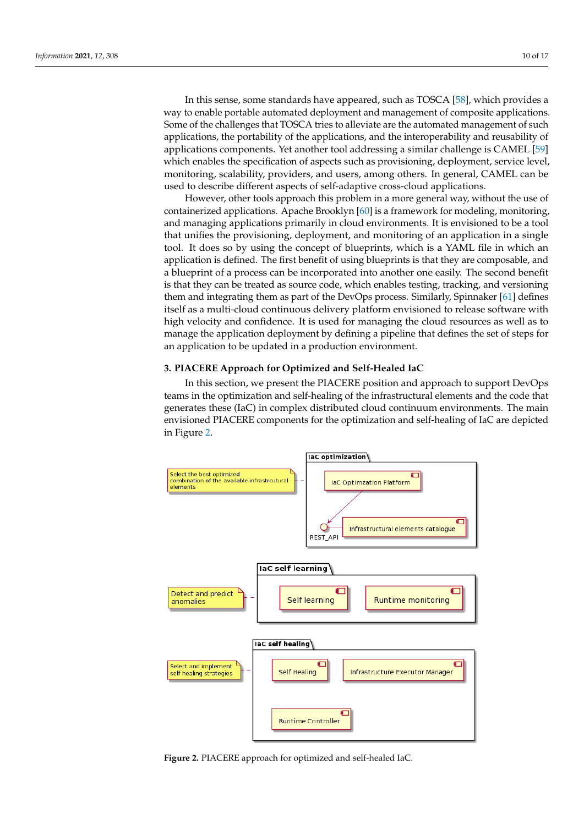In this sense, some standards have appeared, such as TOSCA [\[58\]](#page-16-8), which provides a way to enable portable automated deployment and management of composite applications. Some of the challenges that TOSCA tries to alleviate are the automated management of such applications, the portability of the applications, and the interoperability and reusability of applications components. Yet another tool addressing a similar challenge is CAMEL [\[59\]](#page-16-9) which enables the specification of aspects such as provisioning, deployment, service level, monitoring, scalability, providers, and users, among others. In general, CAMEL can be used to describe different aspects of self-adaptive cross-cloud applications.

However, other tools approach this problem in a more general way, without the use of containerized applications. Apache Brooklyn [\[60\]](#page-16-10) is a framework for modeling, monitoring, and managing applications primarily in cloud environments. It is envisioned to be a tool that unifies the provisioning, deployment, and monitoring of an application in a single tool. It does so by using the concept of blueprints, which is a YAML file in which an application is defined. The first benefit of using blueprints is that they are composable, and a blueprint of a process can be incorporated into another one easily. The second benefit is that they can be treated as source code, which enables testing, tracking, and versioning them and integrating them as part of the DevOps process. Similarly, Spinnaker [\[61\]](#page-16-11) defines itself as a multi-cloud continuous delivery platform envisioned to release software with high velocity and confidence. It is used for managing the cloud resources as well as to manage the application deployment by defining a pipeline that defines the set of steps for an application to be updated in a production environment.

## <span id="page-9-0"></span>**3. PIACERE Approach for Optimized and Self-Healed IaC**

In this section, we present the PIACERE position and approach to support DevOps teams in the optimization and self-healing of the infrastructural elements and the code that generates these (IaC) in complex distributed cloud continuum environments. The main envisioned PIACERE components for the optimization and self-healing of IaC are depicted in Figure [2.](#page-9-1)

<span id="page-9-1"></span>![](_page_9_Figure_6.jpeg)

**Figure 2.** PIACERE approach for optimized and self-healed IaC. Figure 2. PIACERE approach for optimized and self-healed IaC.<br>
Allen Contract and Self-healed IaC.<br>
The contract and self-healed IaC.<br>
The contract and self-healed IaC.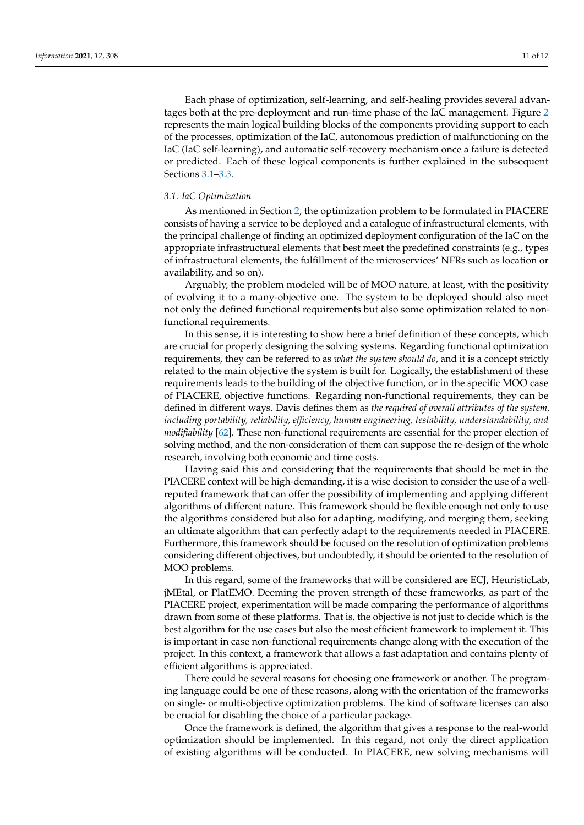Each phase of optimization, self-learning, and self-healing provides several advantages both at the pre-deployment and run-time phase of the IaC management. Figure [2](#page-9-1) represents the main logical building blocks of the components providing support to each of the processes, optimization of the IaC, autonomous prediction of malfunctioning on the IaC (IaC self-learning), and automatic self-recovery mechanism once a failure is detected or predicted. Each of these logical components is further explained in the subsequent Sections [3.1](#page-10-0)[–3.3.](#page-12-0)

## <span id="page-10-0"></span>*3.1. IaC Optimization*

As mentioned in Section [2,](#page-1-0) the optimization problem to be formulated in PIACERE consists of having a service to be deployed and a catalogue of infrastructural elements, with the principal challenge of finding an optimized deployment configuration of the IaC on the appropriate infrastructural elements that best meet the predefined constraints (e.g., types of infrastructural elements, the fulfillment of the microservices' NFRs such as location or availability, and so on).

Arguably, the problem modeled will be of MOO nature, at least, with the positivity of evolving it to a many-objective one. The system to be deployed should also meet not only the defined functional requirements but also some optimization related to nonfunctional requirements.

In this sense, it is interesting to show here a brief definition of these concepts, which are crucial for properly designing the solving systems. Regarding functional optimization requirements, they can be referred to as *what the system should do*, and it is a concept strictly related to the main objective the system is built for. Logically, the establishment of these requirements leads to the building of the objective function, or in the specific MOO case of PIACERE, objective functions. Regarding non-functional requirements, they can be defined in different ways. Davis defines them as *the required of overall attributes of the system, including portability, reliability, efficiency, human engineering, testability, understandability, and modifiability* [\[62\]](#page-16-12). These non-functional requirements are essential for the proper election of solving method, and the non-consideration of them can suppose the re-design of the whole research, involving both economic and time costs.

Having said this and considering that the requirements that should be met in the PIACERE context will be high-demanding, it is a wise decision to consider the use of a wellreputed framework that can offer the possibility of implementing and applying different algorithms of different nature. This framework should be flexible enough not only to use the algorithms considered but also for adapting, modifying, and merging them, seeking an ultimate algorithm that can perfectly adapt to the requirements needed in PIACERE. Furthermore, this framework should be focused on the resolution of optimization problems considering different objectives, but undoubtedly, it should be oriented to the resolution of MOO problems.

In this regard, some of the frameworks that will be considered are ECJ, HeuristicLab, jMEtal, or PlatEMO. Deeming the proven strength of these frameworks, as part of the PIACERE project, experimentation will be made comparing the performance of algorithms drawn from some of these platforms. That is, the objective is not just to decide which is the best algorithm for the use cases but also the most efficient framework to implement it. This is important in case non-functional requirements change along with the execution of the project. In this context, a framework that allows a fast adaptation and contains plenty of efficient algorithms is appreciated.

There could be several reasons for choosing one framework or another. The programing language could be one of these reasons, along with the orientation of the frameworks on single- or multi-objective optimization problems. The kind of software licenses can also be crucial for disabling the choice of a particular package.

Once the framework is defined, the algorithm that gives a response to the real-world optimization should be implemented. In this regard, not only the direct application of existing algorithms will be conducted. In PIACERE, new solving mechanisms will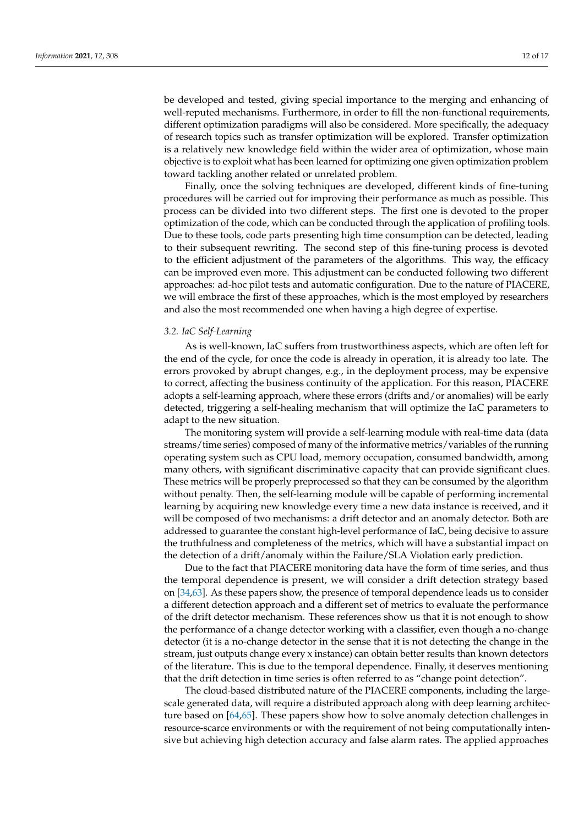be developed and tested, giving special importance to the merging and enhancing of well-reputed mechanisms. Furthermore, in order to fill the non-functional requirements, different optimization paradigms will also be considered. More specifically, the adequacy of research topics such as transfer optimization will be explored. Transfer optimization is a relatively new knowledge field within the wider area of optimization, whose main objective is to exploit what has been learned for optimizing one given optimization problem toward tackling another related or unrelated problem.

Finally, once the solving techniques are developed, different kinds of fine-tuning procedures will be carried out for improving their performance as much as possible. This process can be divided into two different steps. The first one is devoted to the proper optimization of the code, which can be conducted through the application of profiling tools. Due to these tools, code parts presenting high time consumption can be detected, leading to their subsequent rewriting. The second step of this fine-tuning process is devoted to the efficient adjustment of the parameters of the algorithms. This way, the efficacy can be improved even more. This adjustment can be conducted following two different approaches: ad-hoc pilot tests and automatic configuration. Due to the nature of PIACERE, we will embrace the first of these approaches, which is the most employed by researchers and also the most recommended one when having a high degree of expertise.

### *3.2. IaC Self-Learning*

As is well-known, IaC suffers from trustworthiness aspects, which are often left for the end of the cycle, for once the code is already in operation, it is already too late. The errors provoked by abrupt changes, e.g., in the deployment process, may be expensive to correct, affecting the business continuity of the application. For this reason, PIACERE adopts a self-learning approach, where these errors (drifts and/or anomalies) will be early detected, triggering a self-healing mechanism that will optimize the IaC parameters to adapt to the new situation.

The monitoring system will provide a self-learning module with real-time data (data streams/time series) composed of many of the informative metrics/variables of the running operating system such as CPU load, memory occupation, consumed bandwidth, among many others, with significant discriminative capacity that can provide significant clues. These metrics will be properly preprocessed so that they can be consumed by the algorithm without penalty. Then, the self-learning module will be capable of performing incremental learning by acquiring new knowledge every time a new data instance is received, and it will be composed of two mechanisms: a drift detector and an anomaly detector. Both are addressed to guarantee the constant high-level performance of IaC, being decisive to assure the truthfulness and completeness of the metrics, which will have a substantial impact on the detection of a drift/anomaly within the Failure/SLA Violation early prediction.

Due to the fact that PIACERE monitoring data have the form of time series, and thus the temporal dependence is present, we will consider a drift detection strategy based on [\[34,](#page-15-15)[63\]](#page-16-13). As these papers show, the presence of temporal dependence leads us to consider a different detection approach and a different set of metrics to evaluate the performance of the drift detector mechanism. These references show us that it is not enough to show the performance of a change detector working with a classifier, even though a no-change detector (it is a no-change detector in the sense that it is not detecting the change in the stream, just outputs change every x instance) can obtain better results than known detectors of the literature. This is due to the temporal dependence. Finally, it deserves mentioning that the drift detection in time series is often referred to as "change point detection".

The cloud-based distributed nature of the PIACERE components, including the largescale generated data, will require a distributed approach along with deep learning architecture based on [\[64,](#page-16-14)[65\]](#page-16-15). These papers show how to solve anomaly detection challenges in resource-scarce environments or with the requirement of not being computationally intensive but achieving high detection accuracy and false alarm rates. The applied approaches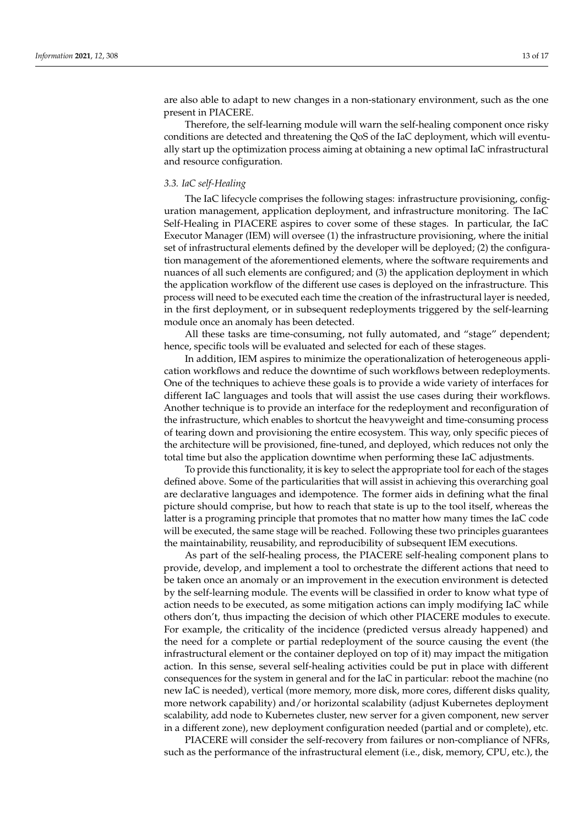are also able to adapt to new changes in a non-stationary environment, such as the one present in PIACERE.

Therefore, the self-learning module will warn the self-healing component once risky conditions are detected and threatening the QoS of the IaC deployment, which will eventually start up the optimization process aiming at obtaining a new optimal IaC infrastructural and resource configuration.

## <span id="page-12-0"></span>*3.3. IaC self-Healing*

The IaC lifecycle comprises the following stages: infrastructure provisioning, configuration management, application deployment, and infrastructure monitoring. The IaC Self-Healing in PIACERE aspires to cover some of these stages. In particular, the IaC Executor Manager (IEM) will oversee (1) the infrastructure provisioning, where the initial set of infrastructural elements defined by the developer will be deployed; (2) the configuration management of the aforementioned elements, where the software requirements and nuances of all such elements are configured; and (3) the application deployment in which the application workflow of the different use cases is deployed on the infrastructure. This process will need to be executed each time the creation of the infrastructural layer is needed, in the first deployment, or in subsequent redeployments triggered by the self-learning module once an anomaly has been detected.

All these tasks are time-consuming, not fully automated, and "stage" dependent; hence, specific tools will be evaluated and selected for each of these stages.

In addition, IEM aspires to minimize the operationalization of heterogeneous application workflows and reduce the downtime of such workflows between redeployments. One of the techniques to achieve these goals is to provide a wide variety of interfaces for different IaC languages and tools that will assist the use cases during their workflows. Another technique is to provide an interface for the redeployment and reconfiguration of the infrastructure, which enables to shortcut the heavyweight and time-consuming process of tearing down and provisioning the entire ecosystem. This way, only specific pieces of the architecture will be provisioned, fine-tuned, and deployed, which reduces not only the total time but also the application downtime when performing these IaC adjustments.

To provide this functionality, it is key to select the appropriate tool for each of the stages defined above. Some of the particularities that will assist in achieving this overarching goal are declarative languages and idempotence. The former aids in defining what the final picture should comprise, but how to reach that state is up to the tool itself, whereas the latter is a programing principle that promotes that no matter how many times the IaC code will be executed, the same stage will be reached. Following these two principles guarantees the maintainability, reusability, and reproducibility of subsequent IEM executions.

As part of the self-healing process, the PIACERE self-healing component plans to provide, develop, and implement a tool to orchestrate the different actions that need to be taken once an anomaly or an improvement in the execution environment is detected by the self-learning module. The events will be classified in order to know what type of action needs to be executed, as some mitigation actions can imply modifying IaC while others don't, thus impacting the decision of which other PIACERE modules to execute. For example, the criticality of the incidence (predicted versus already happened) and the need for a complete or partial redeployment of the source causing the event (the infrastructural element or the container deployed on top of it) may impact the mitigation action. In this sense, several self-healing activities could be put in place with different consequences for the system in general and for the IaC in particular: reboot the machine (no new IaC is needed), vertical (more memory, more disk, more cores, different disks quality, more network capability) and/or horizontal scalability (adjust Kubernetes deployment scalability, add node to Kubernetes cluster, new server for a given component, new server in a different zone), new deployment configuration needed (partial and or complete), etc.

PIACERE will consider the self-recovery from failures or non-compliance of NFRs, such as the performance of the infrastructural element (i.e., disk, memory, CPU, etc.), the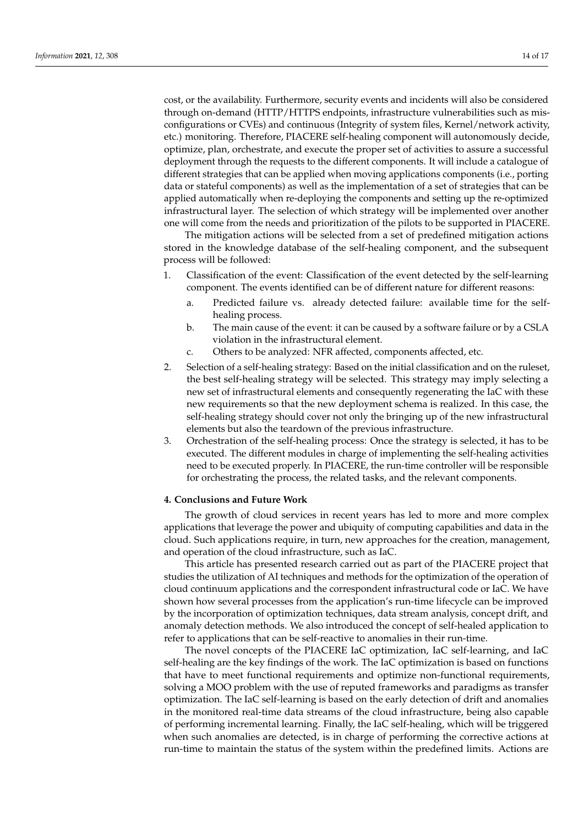cost, or the availability. Furthermore, security events and incidents will also be considered through on-demand (HTTP/HTTPS endpoints, infrastructure vulnerabilities such as misconfigurations or CVEs) and continuous (Integrity of system files, Kernel/network activity, etc.) monitoring. Therefore, PIACERE self-healing component will autonomously decide, optimize, plan, orchestrate, and execute the proper set of activities to assure a successful deployment through the requests to the different components. It will include a catalogue of different strategies that can be applied when moving applications components (i.e., porting data or stateful components) as well as the implementation of a set of strategies that can be applied automatically when re-deploying the components and setting up the re-optimized infrastructural layer. The selection of which strategy will be implemented over another one will come from the needs and prioritization of the pilots to be supported in PIACERE.

The mitigation actions will be selected from a set of predefined mitigation actions stored in the knowledge database of the self-healing component, and the subsequent process will be followed:

- 1. Classification of the event: Classification of the event detected by the self-learning component. The events identified can be of different nature for different reasons:
	- a. Predicted failure vs. already detected failure: available time for the selfhealing process.
	- b. The main cause of the event: it can be caused by a software failure or by a CSLA violation in the infrastructural element.
	- c. Others to be analyzed: NFR affected, components affected, etc.
- 2. Selection of a self-healing strategy: Based on the initial classification and on the ruleset, the best self-healing strategy will be selected. This strategy may imply selecting a new set of infrastructural elements and consequently regenerating the IaC with these new requirements so that the new deployment schema is realized. In this case, the self-healing strategy should cover not only the bringing up of the new infrastructural elements but also the teardown of the previous infrastructure.
- 3. Orchestration of the self-healing process: Once the strategy is selected, it has to be executed. The different modules in charge of implementing the self-healing activities need to be executed properly. In PIACERE, the run-time controller will be responsible for orchestrating the process, the related tasks, and the relevant components.

## <span id="page-13-0"></span>**4. Conclusions and Future Work**

The growth of cloud services in recent years has led to more and more complex applications that leverage the power and ubiquity of computing capabilities and data in the cloud. Such applications require, in turn, new approaches for the creation, management, and operation of the cloud infrastructure, such as IaC.

This article has presented research carried out as part of the PIACERE project that studies the utilization of AI techniques and methods for the optimization of the operation of cloud continuum applications and the correspondent infrastructural code or IaC. We have shown how several processes from the application's run-time lifecycle can be improved by the incorporation of optimization techniques, data stream analysis, concept drift, and anomaly detection methods. We also introduced the concept of self-healed application to refer to applications that can be self-reactive to anomalies in their run-time.

The novel concepts of the PIACERE IaC optimization, IaC self-learning, and IaC self-healing are the key findings of the work. The IaC optimization is based on functions that have to meet functional requirements and optimize non-functional requirements, solving a MOO problem with the use of reputed frameworks and paradigms as transfer optimization. The IaC self-learning is based on the early detection of drift and anomalies in the monitored real-time data streams of the cloud infrastructure, being also capable of performing incremental learning. Finally, the IaC self-healing, which will be triggered when such anomalies are detected, is in charge of performing the corrective actions at run-time to maintain the status of the system within the predefined limits. Actions are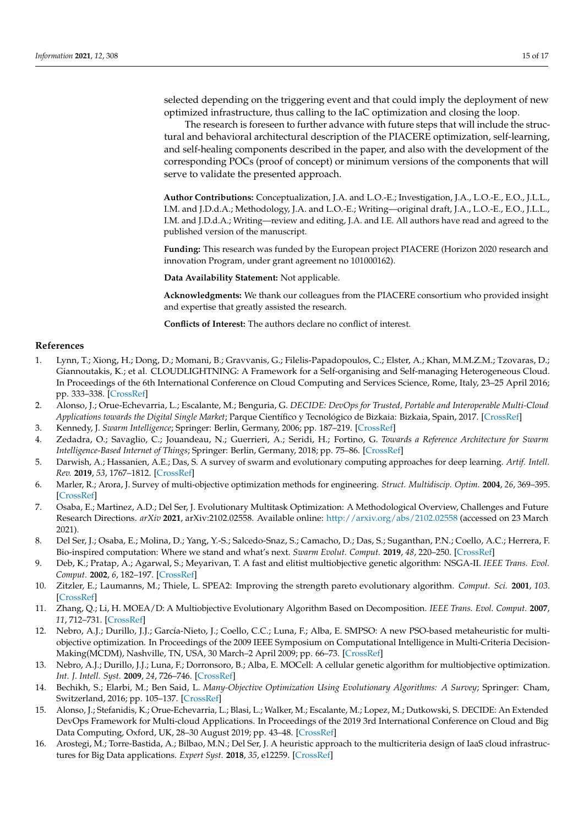selected depending on the triggering event and that could imply the deployment of new optimized infrastructure, thus calling to the IaC optimization and closing the loop.

The research is foreseen to further advance with future steps that will include the structural and behavioral architectural description of the PIACERE optimization, self-learning, and self-healing components described in the paper, and also with the development of the corresponding POCs (proof of concept) or minimum versions of the components that will serve to validate the presented approach.

**Author Contributions:** Conceptualization, J.A. and L.O.-E.; Investigation, J.A., L.O.-E., E.O., J.L.L., I.M. and J.D.d.A.; Methodology, J.A. and L.O.-E.; Writing—original draft, J.A., L.O.-E., E.O., J.L.L., I.M. and J.D.d.A.; Writing—review and editing, J.A. and I.E. All authors have read and agreed to the published version of the manuscript.

**Funding:** This research was funded by the European project PIACERE (Horizon 2020 research and innovation Program, under grant agreement no 101000162).

**Data Availability Statement:** Not applicable.

**Acknowledgments:** We thank our colleagues from the PIACERE consortium who provided insight and expertise that greatly assisted the research.

**Conflicts of Interest:** The authors declare no conflict of interest.

## **References**

- <span id="page-14-0"></span>1. Lynn, T.; Xiong, H.; Dong, D.; Momani, B.; Gravvanis, G.; Filelis-Papadopoulos, C.; Elster, A.; Khan, M.M.Z.M.; Tzovaras, D.; Giannoutakis, K.; et al. CLOUDLIGHTNING: A Framework for a Self-organising and Self-managing Heterogeneous Cloud. In Proceedings of the 6th International Conference on Cloud Computing and Services Science, Rome, Italy, 23–25 April 2016; pp. 333–338. [\[CrossRef\]](http://doi.org/10.5220/0005921503330338)
- <span id="page-14-1"></span>2. Alonso, J.; Orue-Echevarria, L.; Escalante, M.; Benguria, G. *DECIDE: DevOps for Trusted, Portable and Interoperable Multi-Cloud Applications towards the Digital Single Market*; Parque Científico y Tecnológico de Bizkaia: Bizkaia, Spain, 2017. [\[CrossRef\]](http://doi.org/10.5220/0006292403970404)
- <span id="page-14-2"></span>3. Kennedy, J. *Swarm Intelligence*; Springer: Berlin, Germany, 2006; pp. 187–219. [\[CrossRef\]](http://doi.org/10.1007/0-387-27705-6_6)
- 4. Zedadra, O.; Savaglio, C.; Jouandeau, N.; Guerrieri, A.; Seridi, H.; Fortino, G. *Towards a Reference Architecture for Swarm Intelligence-Based Internet of Things*; Springer: Berlin, Germany, 2018; pp. 75–86. [\[CrossRef\]](http://doi.org/10.1007/978-3-319-97795-9_7)
- <span id="page-14-3"></span>5. Darwish, A.; Hassanien, A.E.; Das, S. A survey of swarm and evolutionary computing approaches for deep learning. *Artif. Intell. Rev.* **2019**, *53*, 1767–1812. [\[CrossRef\]](http://doi.org/10.1007/s10462-019-09719-2)
- <span id="page-14-4"></span>6. Marler, R.; Arora, J. Survey of multi-objective optimization methods for engineering. *Struct. Multidiscip. Optim.* **2004**, *26*, 369–395. [\[CrossRef\]](http://doi.org/10.1007/s00158-003-0368-6)
- <span id="page-14-5"></span>7. Osaba, E.; Martinez, A.D.; Del Ser, J. Evolutionary Multitask Optimization: A Methodological Overview, Challenges and Future Research Directions. *arXiv* **2021**, arXiv:2102.02558. Available online: <http://arxiv.org/abs/2102.02558> (accessed on 23 March 2021).
- <span id="page-14-6"></span>8. Del Ser, J.; Osaba, E.; Molina, D.; Yang, Y.-S.; Salcedo-Snaz, S.; Camacho, D.; Das, S.; Suganthan, P.N.; Coello, A.C.; Herrera, F. Bio-inspired computation: Where we stand and what's next. *Swarm Evolut. Comput.* **2019**, *48*, 220–250. [\[CrossRef\]](http://doi.org/10.1016/j.swevo.2019.04.008)
- <span id="page-14-7"></span>9. Deb, K.; Pratap, A.; Agarwal, S.; Meyarivan, T. A fast and elitist multiobjective genetic algorithm: NSGA-II. *IEEE Trans. Evol. Comput.* **2002**, *6*, 182–197. [\[CrossRef\]](http://doi.org/10.1109/4235.996017)
- <span id="page-14-8"></span>10. Zitzler, E.; Laumanns, M.; Thiele, L. SPEA2: Improving the strength pareto evolutionary algorithm. *Comput. Sci.* **2001**, *103*. [\[CrossRef\]](http://doi.org/10.3929/ethz-a-004284029)
- <span id="page-14-9"></span>11. Zhang, Q.; Li, H. MOEA/D: A Multiobjective Evolutionary Algorithm Based on Decomposition. *IEEE Trans. Evol. Comput.* **2007**, *11*, 712–731. [\[CrossRef\]](http://doi.org/10.1109/TEVC.2007.892759)
- <span id="page-14-10"></span>12. Nebro, A.J.; Durillo, J.J.; García-Nieto, J.; Coello, C.C.; Luna, F.; Alba, E. SMPSO: A new PSO-based metaheuristic for multiobjective optimization. In Proceedings of the 2009 IEEE Symposium on Computational Intelligence in Multi-Criteria Decision-Making(MCDM), Nashville, TN, USA, 30 March–2 April 2009; pp. 66–73. [\[CrossRef\]](http://doi.org/10.1109/mcdm.2009.4938830)
- <span id="page-14-11"></span>13. Nebro, A.J.; Durillo, J.J.; Luna, F.; Dorronsoro, B.; Alba, E. MOCell: A cellular genetic algorithm for multiobjective optimization. *Int. J. Intell. Syst.* **2009**, *24*, 726–746. [\[CrossRef\]](http://doi.org/10.1002/int.20358)
- <span id="page-14-12"></span>14. Bechikh, S.; Elarbi, M.; Ben Said, L. *Many-Objective Optimization Using Evolutionary Algorithms: A Survey*; Springer: Cham, Switzerland, 2016; pp. 105–137. [\[CrossRef\]](http://doi.org/10.1007/978-3-319-42978-6_4)
- <span id="page-14-13"></span>15. Alonso, J.; Stefanidis, K.; Orue-Echevarria, L.; Blasi, L.; Walker, M.; Escalante, M.; Lopez, M.; Dutkowski, S. DECIDE: An Extended DevOps Framework for Multi-cloud Applications. In Proceedings of the 2019 3rd International Conference on Cloud and Big Data Computing, Oxford, UK, 28–30 August 2019; pp. 43–48. [\[CrossRef\]](http://doi.org/10.1145/3358505.3358522)
- <span id="page-14-14"></span>16. Arostegi, M.; Torre-Bastida, A.; Bilbao, M.N.; Del Ser, J. A heuristic approach to the multicriteria design of IaaS cloud infrastructures for Big Data applications. *Expert Syst.* **2018**, *35*, e12259. [\[CrossRef\]](http://doi.org/10.1111/exsy.12259)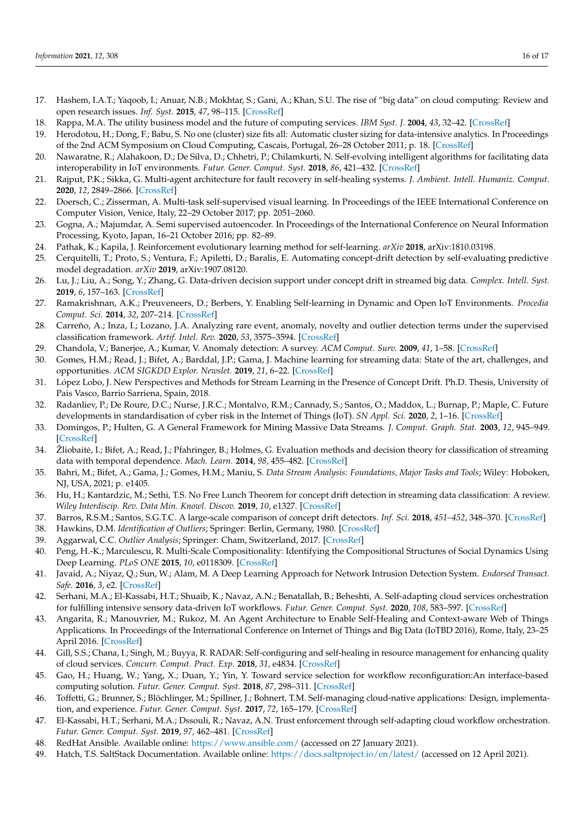- <span id="page-15-0"></span>17. Hashem, I.A.T.; Yaqoob, I.; Anuar, N.B.; Mokhtar, S.; Gani, A.; Khan, S.U. The rise of "big data" on cloud computing: Review and open research issues. *Inf. Syst.* **2015**, *47*, 98–115. [\[CrossRef\]](http://doi.org/10.1016/j.is.2014.07.006)
- <span id="page-15-1"></span>18. Rappa, M.A. The utility business model and the future of computing services. *IBM Syst. J.* **2004**, *43*, 32–42. [\[CrossRef\]](http://doi.org/10.1147/sj.431.0032)
- <span id="page-15-2"></span>19. Herodotou, H.; Dong, F.; Babu, S. No one (cluster) size fits all: Automatic cluster sizing for data-intensive analytics. In Proceedings of the 2nd ACM Symposium on Cloud Computing, Cascais, Portugal, 26–28 October 2011; p. 18. [\[CrossRef\]](http://doi.org/10.1145/2038916.2038934)
- <span id="page-15-3"></span>20. Nawaratne, R.; Alahakoon, D.; De Silva, D.; Chhetri, P.; Chilamkurti, N. Self-evolving intelligent algorithms for facilitating data interoperability in IoT environments. *Futur. Gener. Comput. Syst.* **2018**, *86*, 421–432. [\[CrossRef\]](http://doi.org/10.1016/j.future.2018.02.049)
- <span id="page-15-4"></span>21. Rajput, P.K.; Sikka, G. Multi-agent architecture for fault recovery in self-healing systems. *J. Ambient. Intell. Humaniz. Comput.* **2020**, *12*, 2849–2866. [\[CrossRef\]](http://doi.org/10.1007/s12652-020-02443-8)
- <span id="page-15-5"></span>22. Doersch, C.; Zisserman, A. Multi-task self-supervised visual learning. In Proceedings of the IEEE International Conference on Computer Vision, Venice, Italy, 22–29 October 2017; pp. 2051–2060.
- <span id="page-15-6"></span>23. Gogna, A.; Majumdar, A. Semi supervised autoencoder. In Proceedings of the International Conference on Neural Information Processing, Kyoto, Japan, 16–21 October 2016; pp. 82–89.
- <span id="page-15-7"></span>24. Pathak, K.; Kapila, J. Reinforcement evolutionary learning method for self-learning. *arXiv* **2018**, arXiv:1810.03198.
- 25. Cerquitelli, T.; Proto, S.; Ventura, F.; Apiletti, D.; Baralis, E. Automating concept-drift detection by self-evaluating predictive model degradation. *arXiv* **2019**, arXiv:1907.08120.
- 26. Lu, J.; Liu, A.; Song, Y.; Zhang, G. Data-driven decision support under concept drift in streamed big data. *Complex. Intell. Syst.* **2019**, *6*, 157–163. [\[CrossRef\]](http://doi.org/10.1007/s40747-019-00124-4)
- <span id="page-15-8"></span>27. Ramakrishnan, A.K.; Preuveneers, D.; Berbers, Y. Enabling Self-learning in Dynamic and Open IoT Environments. *Procedia Comput. Sci.* **2014**, *32*, 207–214. [\[CrossRef\]](http://doi.org/10.1016/j.procs.2014.05.416)
- <span id="page-15-9"></span>28. Carreño, A.; Inza, I.; Lozano, J.A. Analyzing rare event, anomaly, novelty and outlier detection terms under the supervised classification framework. *Artif. Intel. Rev.* **2020**, *53*, 3575–3594. [\[CrossRef\]](http://doi.org/10.1007/s10462-019-09771-y)
- <span id="page-15-10"></span>29. Chandola, V.; Banerjee, A.; Kumar, V. Anomaly detection: A survey. *ACM Comput. Surv.* **2009**, *41*, 1–58. [\[CrossRef\]](http://doi.org/10.1145/1541880.1541882)
- <span id="page-15-11"></span>30. Gomes, H.M.; Read, J.; Bifet, A.; Barddal, J.P.; Gama, J. Machine learning for streaming data: State of the art, challenges, and opportunities. *ACM SIGKDD Explor. Newslet.* **2019**, *21*, 6–22. [\[CrossRef\]](http://doi.org/10.1145/3373464.3373470)
- <span id="page-15-12"></span>31. López Lobo, J. New Perspectives and Methods for Stream Learning in the Presence of Concept Drift. Ph.D. Thesis, University of Pais Vasco, Barrio Sarriena, Spain, 2018.
- <span id="page-15-13"></span>32. Radanliev, P.; De Roure, D.C.; Nurse, J.R.C.; Montalvo, R.M.; Cannady, S.; Santos, O.; Maddox, L.; Burnap, P.; Maple, C. Future developments in standardisation of cyber risk in the Internet of Things (IoT). *SN Appl. Sci.* **2020**, *2*, 1–16. [\[CrossRef\]](http://doi.org/10.1007/s42452-019-1931-0)
- <span id="page-15-14"></span>33. Domingos, P.; Hulten, G. A General Framework for Mining Massive Data Streams. *J. Comput. Graph. Stat.* **2003**, *12*, 945–949. [\[CrossRef\]](http://doi.org/10.1198/1061860032544)
- <span id="page-15-15"></span>34. Žliobaitė, I.; Bifet, A.; Read, J.; Pfahringer, B.; Holmes, G. Evaluation methods and decision theory for classification of streaming data with temporal dependence. *Mach. Learn.* **2014**, *98*, 455–482. [\[CrossRef\]](http://doi.org/10.1007/s10994-014-5441-4)
- <span id="page-15-16"></span>35. Bahri, M.; Bifet, A.; Gama, J.; Gomes, H.M.; Maniu, S. *Data Stream Analysis: Foundations, Major Tasks and Tools*; Wiley: Hoboken, NJ, USA, 2021; p. e1405.
- <span id="page-15-17"></span>36. Hu, H.; Kantardzic, M.; Sethi, T.S. No Free Lunch Theorem for concept drift detection in streaming data classification: A review. *Wiley Interdiscip. Rev. Data Min. Knowl. Discov.* **2019**, *10*, e1327. [\[CrossRef\]](http://doi.org/10.1002/widm.1327)
- <span id="page-15-18"></span>37. Barros, R.S.M.; Santos, S.G.T.C. A large-scale comparison of concept drift detectors. *Inf. Sci.* **2018**, *451–452*, 348–370. [\[CrossRef\]](http://doi.org/10.1016/j.ins.2018.04.014)
- <span id="page-15-19"></span>38. Hawkins, D.M. *Identification of Outliers*; Springer: Berlin, Germany, 1980. [\[CrossRef\]](http://doi.org/10.1007/978-94-015-3994-4)
- <span id="page-15-20"></span>39. Aggarwal, C.C. *Outlier Analysis*; Springer: Cham, Switzerland, 2017. [\[CrossRef\]](http://doi.org/10.1007/978-3-319-47578-3)
- <span id="page-15-21"></span>40. Peng, H.-K.; Marculescu, R. Multi-Scale Compositionality: Identifying the Compositional Structures of Social Dynamics Using Deep Learning. *PLoS ONE* **2015**, *10*, e0118309. [\[CrossRef\]](http://doi.org/10.1371/journal.pone.0118309)
- <span id="page-15-22"></span>41. Javaid, A.; Niyaz, Q.; Sun, W.; Alam, M. A Deep Learning Approach for Network Intrusion Detection System. *Endorsed Transact. Safe.* **2016**, *3*, e2. [\[CrossRef\]](http://doi.org/10.4108/eai.3-12-2015.2262516)
- <span id="page-15-23"></span>42. Serhani, M.A.; El-Kassabi, H.T.; Shuaib, K.; Navaz, A.N.; Benatallah, B.; Beheshti, A. Self-adapting cloud services orchestration for fulfilling intensive sensory data-driven IoT workflows. *Futur. Gener. Comput. Syst.* **2020**, *108*, 583–597. [\[CrossRef\]](http://doi.org/10.1016/j.future.2020.02.066)
- <span id="page-15-24"></span>43. Angarita, R.; Manouvrier, M.; Rukoz, M. An Agent Architecture to Enable Self-Healing and Context-aware Web of Things Applications. In Proceedings of the International Conference on Internet of Things and Big Data (IoTBD 2016), Rome, Italy, 23–25 April 2016. [\[CrossRef\]](http://doi.org/10.5220/0005932200820087)
- <span id="page-15-25"></span>44. Gill, S.S.; Chana, I.; Singh, M.; Buyya, R. RADAR: Self-configuring and self-healing in resource management for enhancing quality of cloud services. *Concurr. Comput. Pract. Exp.* **2018**, *31*, e4834. [\[CrossRef\]](http://doi.org/10.1002/cpe.4834)
- <span id="page-15-26"></span>45. Gao, H.; Huang, W.; Yang, X.; Duan, Y.; Yin, Y. Toward service selection for workflow reconfiguration:An interface-based computing solution. *Futur. Gener. Comput. Syst.* **2018**, *87*, 298–311. [\[CrossRef\]](http://doi.org/10.1016/j.future.2018.04.064)
- <span id="page-15-27"></span>46. Toffetti, G.; Brunner, S.; Blöchlinger, M.; Spillner, J.; Bohnert, T.M. Self-managing cloud-native applications: Design, implementation, and experience. *Futur. Gener. Comput. Syst.* **2017**, *72*, 165–179. [\[CrossRef\]](http://doi.org/10.1016/j.future.2016.09.002)
- <span id="page-15-28"></span>47. El-Kassabi, H.T.; Serhani, M.A.; Dssouli, R.; Navaz, A.N. Trust enforcement through self-adapting cloud workflow orchestration. *Futur. Gener. Comput. Syst.* **2019**, *97*, 462–481. [\[CrossRef\]](http://doi.org/10.1016/j.future.2019.03.004)
- <span id="page-15-29"></span>48. RedHat Ansible. Available online: <https://www.ansible.com/> (accessed on 27 January 2021).
- <span id="page-15-30"></span>49. Hatch, T.S. SaltStack Documentation. Available online: <https://docs.saltproject.io/en/latest/> (accessed on 12 April 2021).